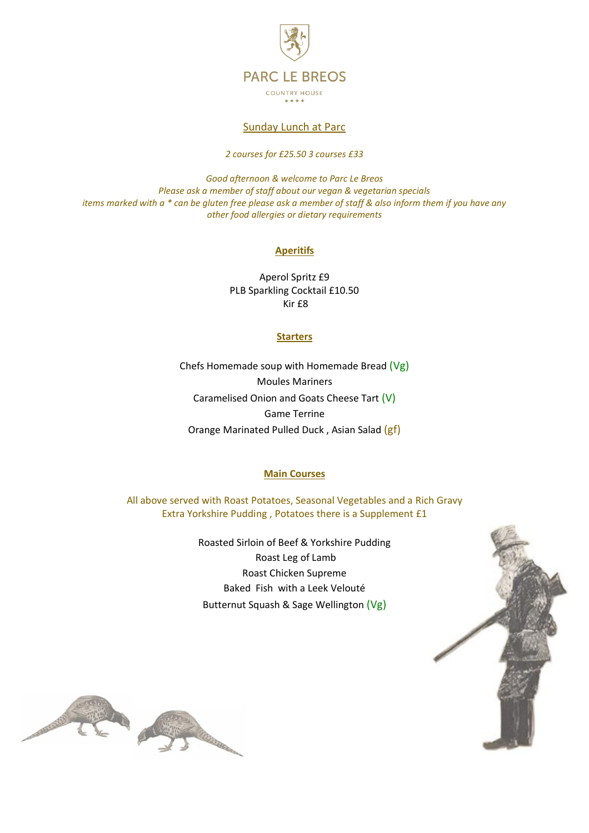

## Sunday Lunch at Parc

*2 courses for £25.50 3 courses £33*

*Good afternoon & welcome to Parc Le Breos Please ask a member of staff about our vegan & vegetarian specials items marked with a \* can be gluten free please ask a member of staff & also inform them if you have any other food allergies or dietary requirements* 

# **Aperitifs**

Aperol Spritz £9 PLB Sparkling Cocktail £10.50 Kir £8

## **Starters**

Chefs Homemade soup with Homemade Bread (Vg) Moules Mariners Caramelised Onion and Goats Cheese Tart (V) Game Terrine Orange Marinated Pulled Duck , Asian Salad (gf)

## **Main Courses**

All above served with Roast Potatoes, Seasonal Vegetables and a Rich Gravy Extra Yorkshire Pudding , Potatoes there is a Supplement £1

> Roasted Sirloin of Beef & Yorkshire Pudding Roast Leg of Lamb Roast Chicken Supreme Baked Fish with a Leek Velouté Butternut Squash & Sage Wellington (Vg)